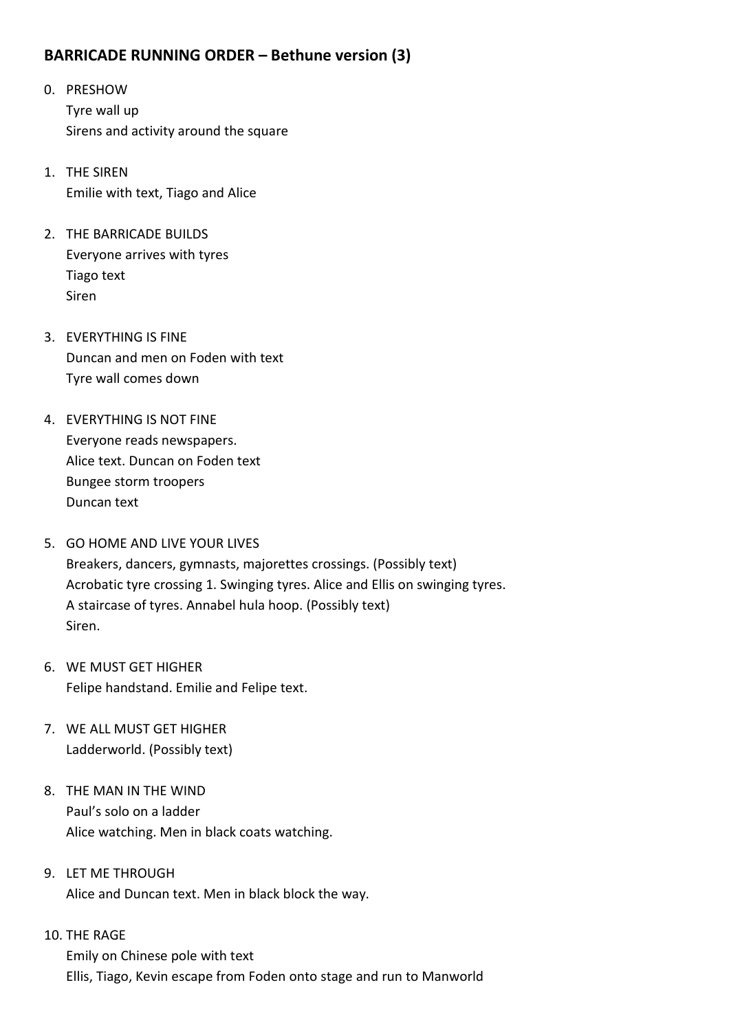## **BARRICADE RUNNING ORDER – Bethune version (3)**

- 0. PRESHOW Tyre wall up Sirens and activity around the square
- 1. THE SIREN Emilie with text, Tiago and Alice
- 2. THE BARRICADE BUILDS Everyone arrives with tyres Tiago text Siren
- 3. EVERYTHING IS FINE Duncan and men on Foden with text Tyre wall comes down
- 4. EVERYTHING IS NOT FINE Everyone reads newspapers. Alice text. Duncan on Foden text Bungee storm troopers Duncan text
- 5. GO HOME AND LIVE YOUR LIVES Breakers, dancers, gymnasts, majorettes crossings. (Possibly text) Acrobatic tyre crossing 1. Swinging tyres. Alice and Ellis on swinging tyres. A staircase of tyres. Annabel hula hoop. (Possibly text) Siren.
- 6. WE MUST GET HIGHER Felipe handstand. Emilie and Felipe text.
- 7. WE ALL MUST GET HIGHER Ladderworld. (Possibly text)
- 8. THE MAN IN THE WIND Paul's solo on a ladder Alice watching. Men in black coats watching.
- 9. LET ME THROUGH Alice and Duncan text. Men in black block the way.

# 10. THE RAGE Emily on Chinese pole with text Ellis, Tiago, Kevin escape from Foden onto stage and run to Manworld